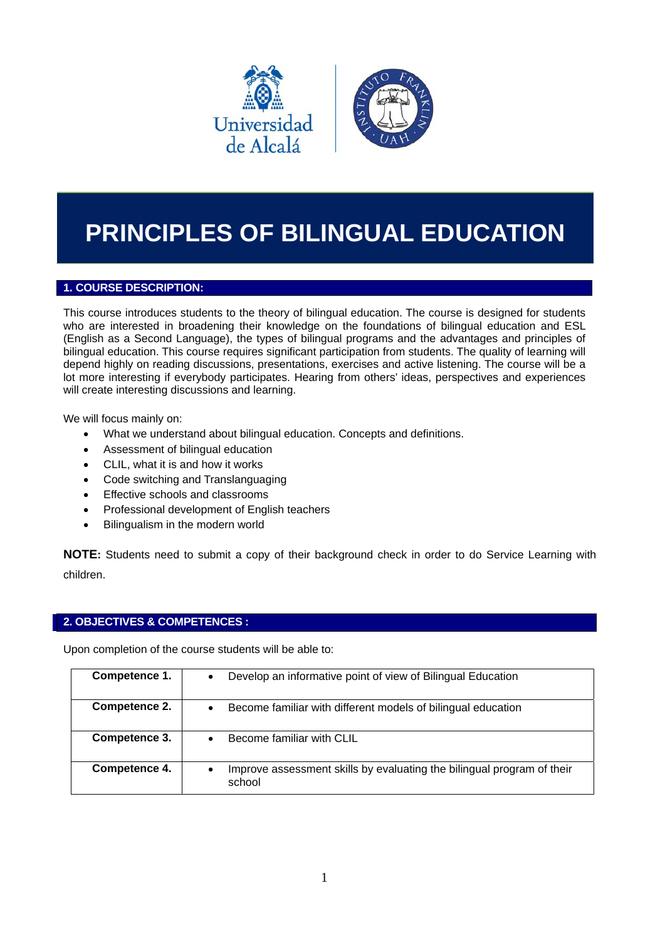

# **PRINCIPLES OF BILINGUAL EDUCATION**

# **1. COURSE DESCRIPTION:**

This course introduces students to the theory of bilingual education. The course is designed for students who are interested in broadening their knowledge on the foundations of bilingual education and ESL (English as a Second Language), the types of bilingual programs and the advantages and principles of bilingual education. This course requires significant participation from students. The quality of learning will depend highly on reading discussions, presentations, exercises and active listening. The course will be a lot more interesting if everybody participates. Hearing from others' ideas, perspectives and experiences will create interesting discussions and learning.

We will focus mainly on:

- What we understand about bilingual education. Concepts and definitions.
- Assessment of bilingual education
- CLIL, what it is and how it works
- Code switching and Translanguaging
- **•** Effective schools and classrooms
- Professional development of English teachers
- Bilingualism in the modern world

**NOTE:** Students need to submit a copy of their background check in order to do Service Learning with children.

#### **2. OBJECTIVES & COMPETENCES :**

Upon completion of the course students will be able to:

| Competence 1. | Develop an informative point of view of Bilingual Education                      |
|---------------|----------------------------------------------------------------------------------|
| Competence 2. | Become familiar with different models of bilingual education                     |
| Competence 3. | Become familiar with CLIL                                                        |
| Competence 4. | Improve assessment skills by evaluating the bilingual program of their<br>school |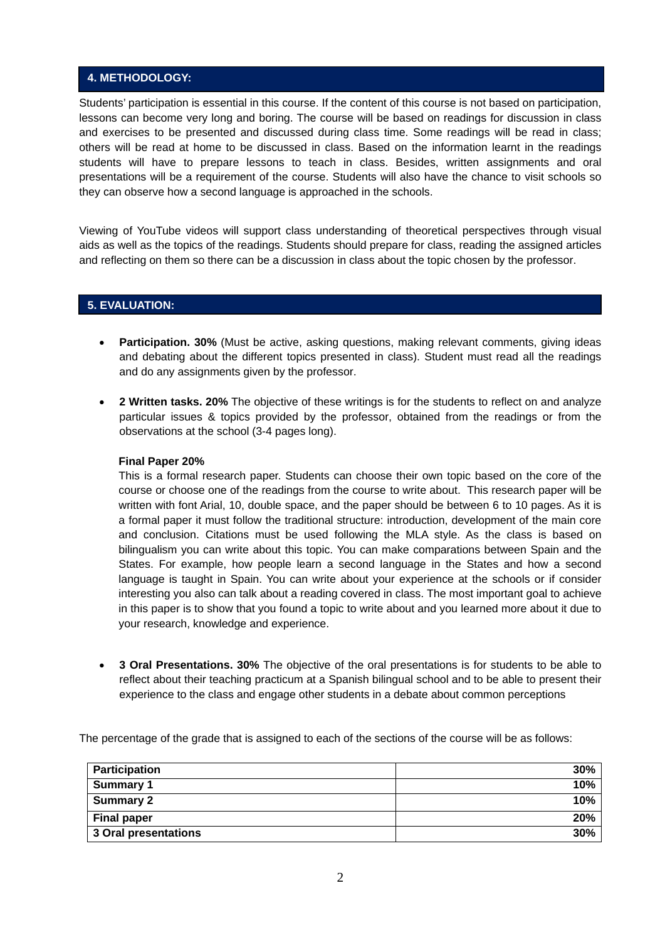## **4. METHODOLOGY:**

Students' participation is essential in this course. If the content of this course is not based on participation, lessons can become very long and boring. The course will be based on readings for discussion in class and exercises to be presented and discussed during class time. Some readings will be read in class; others will be read at home to be discussed in class. Based on the information learnt in the readings students will have to prepare lessons to teach in class. Besides, written assignments and oral presentations will be a requirement of the course. Students will also have the chance to visit schools so they can observe how a second language is approached in the schools.

Viewing of YouTube videos will support class understanding of theoretical perspectives through visual aids as well as the topics of the readings. Students should prepare for class, reading the assigned articles and reflecting on them so there can be a discussion in class about the topic chosen by the professor.

### **5. EVALUATION:**

- **Participation. 30%** (Must be active, asking questions, making relevant comments, giving ideas and debating about the different topics presented in class). Student must read all the readings and do any assignments given by the professor.
- **2 Written tasks. 20%** The objective of these writings is for the students to reflect on and analyze particular issues & topics provided by the professor, obtained from the readings or from the observations at the school (3-4 pages long).

#### **Final Paper 20%**

This is a formal research paper. Students can choose their own topic based on the core of the course or choose one of the readings from the course to write about. This research paper will be written with font Arial, 10, double space, and the paper should be between 6 to 10 pages. As it is a formal paper it must follow the traditional structure: introduction, development of the main core and conclusion. Citations must be used following the MLA style. As the class is based on bilingualism you can write about this topic. You can make comparations between Spain and the States. For example, how people learn a second language in the States and how a second language is taught in Spain. You can write about your experience at the schools or if consider interesting you also can talk about a reading covered in class. The most important goal to achieve in this paper is to show that you found a topic to write about and you learned more about it due to your research, knowledge and experience.

 **3 Oral Presentations. 30%** The objective of the oral presentations is for students to be able to reflect about their teaching practicum at a Spanish bilingual school and to be able to present their experience to the class and engage other students in a debate about common perceptions

The percentage of the grade that is assigned to each of the sections of the course will be as follows:

| <b>Participation</b> | 30% |
|----------------------|-----|
| <b>Summary 1</b>     | 10% |
| <b>Summary 2</b>     | 10% |
| <b>Final paper</b>   | 20% |
| 3 Oral presentations | 30% |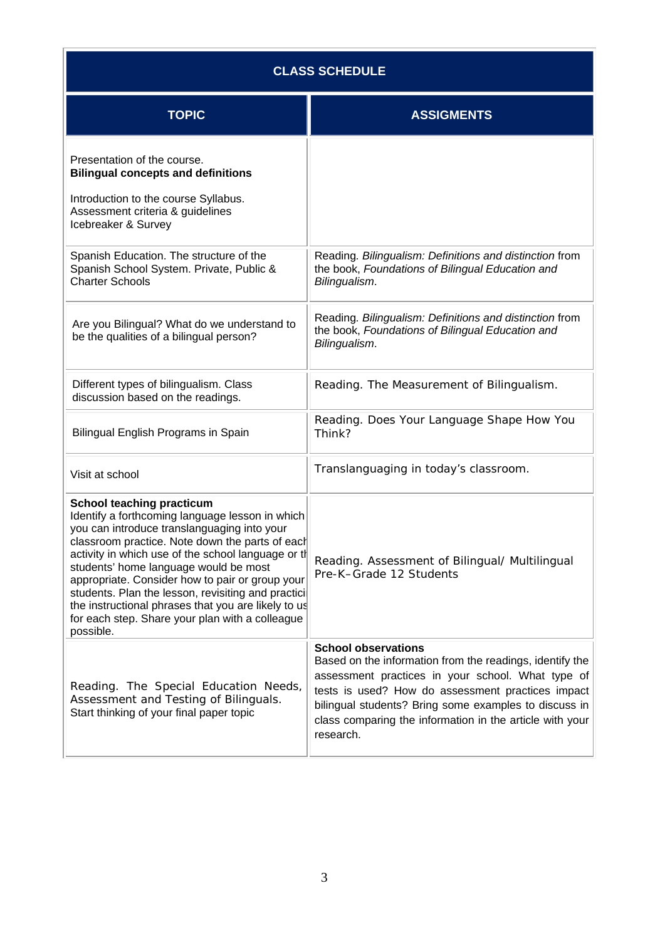| <b>CLASS SCHEDULE</b>                                                                                                                                                                                                                                                                                                                                                                                                                                                                                                |                                                                                                                                                                                                                                                                                                                                    |  |
|----------------------------------------------------------------------------------------------------------------------------------------------------------------------------------------------------------------------------------------------------------------------------------------------------------------------------------------------------------------------------------------------------------------------------------------------------------------------------------------------------------------------|------------------------------------------------------------------------------------------------------------------------------------------------------------------------------------------------------------------------------------------------------------------------------------------------------------------------------------|--|
| <b>TOPIC</b>                                                                                                                                                                                                                                                                                                                                                                                                                                                                                                         | <b>ASSIGMENTS</b>                                                                                                                                                                                                                                                                                                                  |  |
| Presentation of the course.<br><b>Bilingual concepts and definitions</b>                                                                                                                                                                                                                                                                                                                                                                                                                                             |                                                                                                                                                                                                                                                                                                                                    |  |
| Introduction to the course Syllabus.<br>Assessment criteria & guidelines<br>Icebreaker & Survey                                                                                                                                                                                                                                                                                                                                                                                                                      |                                                                                                                                                                                                                                                                                                                                    |  |
| Spanish Education. The structure of the<br>Spanish School System. Private, Public &<br><b>Charter Schools</b>                                                                                                                                                                                                                                                                                                                                                                                                        | Reading. Bilingualism: Definitions and distinction from<br>the book, Foundations of Bilingual Education and<br>Bilingualism.                                                                                                                                                                                                       |  |
| Are you Bilingual? What do we understand to<br>be the qualities of a bilingual person?                                                                                                                                                                                                                                                                                                                                                                                                                               | Reading. Bilingualism: Definitions and distinction from<br>the book, Foundations of Bilingual Education and<br>Bilingualism.                                                                                                                                                                                                       |  |
| Different types of bilingualism. Class<br>discussion based on the readings.                                                                                                                                                                                                                                                                                                                                                                                                                                          | Reading. The Measurement of Bilingualism.                                                                                                                                                                                                                                                                                          |  |
| Bilingual English Programs in Spain                                                                                                                                                                                                                                                                                                                                                                                                                                                                                  | Reading. Does Your Language Shape How You<br>Think?                                                                                                                                                                                                                                                                                |  |
| Visit at school                                                                                                                                                                                                                                                                                                                                                                                                                                                                                                      | Translanguaging in today's classroom.                                                                                                                                                                                                                                                                                              |  |
| <b>School teaching practicum</b><br>Identify a forthcoming language lesson in which<br>you can introduce translanguaging into your<br>classroom practice. Note down the parts of each<br>activity in which use of the school language or th<br>students' home language would be most<br>appropriate. Consider how to pair or group your<br>students. Plan the lesson, revisiting and practici<br>the instructional phrases that you are likely to us<br>for each step. Share your plan with a colleague<br>possible. | Reading. Assessment of Bilingual/ Multilingual<br>Pre-K-Grade 12 Students                                                                                                                                                                                                                                                          |  |
| Reading. The Special Education Needs,<br>Assessment and Testing of Bilinguals.<br>Start thinking of your final paper topic                                                                                                                                                                                                                                                                                                                                                                                           | <b>School observations</b><br>Based on the information from the readings, identify the<br>assessment practices in your school. What type of<br>tests is used? How do assessment practices impact<br>bilingual students? Bring some examples to discuss in<br>class comparing the information in the article with your<br>research. |  |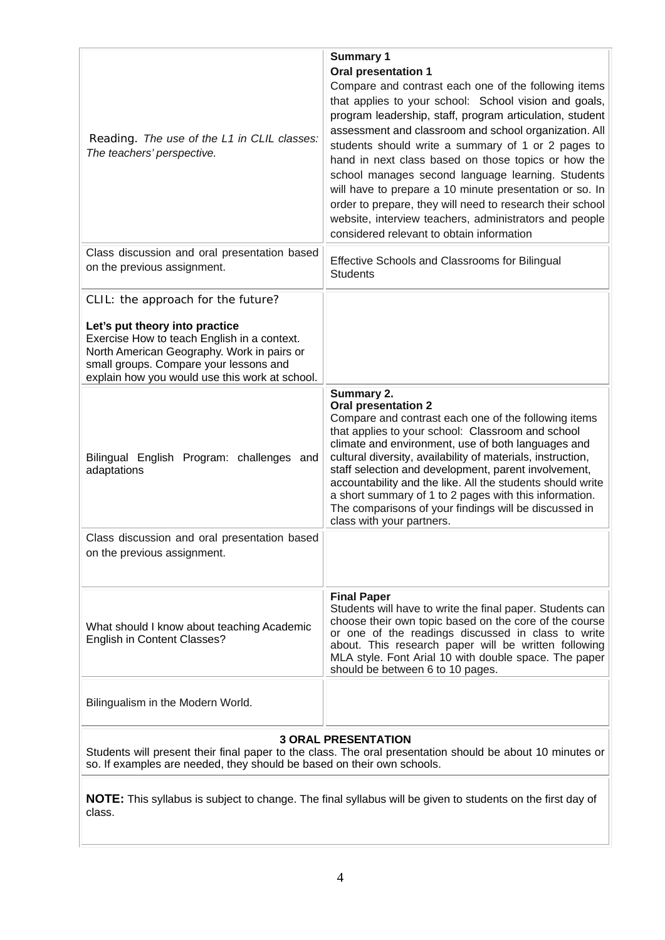| Reading. The use of the L1 in CLIL classes:<br>The teachers' perspective.                                                                                                                                               | <b>Summary 1</b><br><b>Oral presentation 1</b><br>Compare and contrast each one of the following items<br>that applies to your school: School vision and goals,<br>program leadership, staff, program articulation, student<br>assessment and classroom and school organization. All<br>students should write a summary of 1 or 2 pages to<br>hand in next class based on those topics or how the<br>school manages second language learning. Students<br>will have to prepare a 10 minute presentation or so. In<br>order to prepare, they will need to research their school<br>website, interview teachers, administrators and people<br>considered relevant to obtain information |  |
|-------------------------------------------------------------------------------------------------------------------------------------------------------------------------------------------------------------------------|---------------------------------------------------------------------------------------------------------------------------------------------------------------------------------------------------------------------------------------------------------------------------------------------------------------------------------------------------------------------------------------------------------------------------------------------------------------------------------------------------------------------------------------------------------------------------------------------------------------------------------------------------------------------------------------|--|
| Class discussion and oral presentation based<br>on the previous assignment.                                                                                                                                             | Effective Schools and Classrooms for Bilingual<br><b>Students</b>                                                                                                                                                                                                                                                                                                                                                                                                                                                                                                                                                                                                                     |  |
| CLIL: the approach for the future?                                                                                                                                                                                      |                                                                                                                                                                                                                                                                                                                                                                                                                                                                                                                                                                                                                                                                                       |  |
| Let's put theory into practice<br>Exercise How to teach English in a context.<br>North American Geography. Work in pairs or<br>small groups. Compare your lessons and<br>explain how you would use this work at school. |                                                                                                                                                                                                                                                                                                                                                                                                                                                                                                                                                                                                                                                                                       |  |
| Bilingual English Program: challenges and<br>adaptations                                                                                                                                                                | Summary 2.<br><b>Oral presentation 2</b><br>Compare and contrast each one of the following items<br>that applies to your school: Classroom and school<br>climate and environment, use of both languages and<br>cultural diversity, availability of materials, instruction,<br>staff selection and development, parent involvement,<br>accountability and the like. All the students should write<br>a short summary of 1 to 2 pages with this information.<br>The comparisons of your findings will be discussed in<br>class with your partners.                                                                                                                                      |  |
| Class discussion and oral presentation based<br>on the previous assignment.                                                                                                                                             |                                                                                                                                                                                                                                                                                                                                                                                                                                                                                                                                                                                                                                                                                       |  |
| What should I know about teaching Academic<br>English in Content Classes?                                                                                                                                               | <b>Final Paper</b><br>Students will have to write the final paper. Students can<br>choose their own topic based on the core of the course<br>or one of the readings discussed in class to write<br>about. This research paper will be written following<br>MLA style. Font Arial 10 with double space. The paper<br>should be between 6 to 10 pages.                                                                                                                                                                                                                                                                                                                                  |  |
| Bilingualism in the Modern World.                                                                                                                                                                                       |                                                                                                                                                                                                                                                                                                                                                                                                                                                                                                                                                                                                                                                                                       |  |
| <b>3 ORAL PRESENTATION</b><br>Students will present their final paper to the class. The oral presentation should be about 10 minutes or                                                                                 |                                                                                                                                                                                                                                                                                                                                                                                                                                                                                                                                                                                                                                                                                       |  |

**NOTE:** This syllabus is subject to change. The final syllabus will be given to students on the first day of class.

so. If examples are needed, they should be based on their own schools.